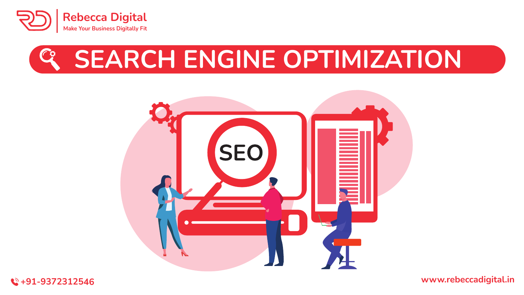



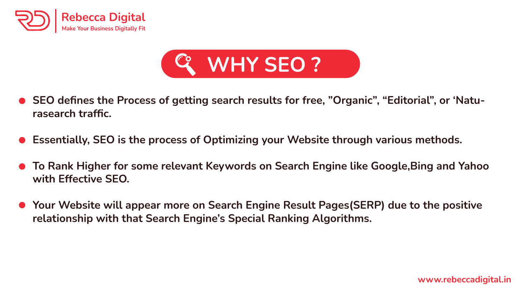



- **SEO defines the Process of getting search results for free, "Organic", "Editorial", or 'Naturasearch traffic.**
- **Essentially, SEO is the process of Optimizing your Website through various methods.**
- **To Rank Higher for some relevant Keywords on Search Engine like Google,Bing and Yahoo with Effective SEO.**
- **Your Website will appear more on Search Engine Result Pages(SERP) due to the positive relationship with that Search Engine's Special Ranking Algorithms.**

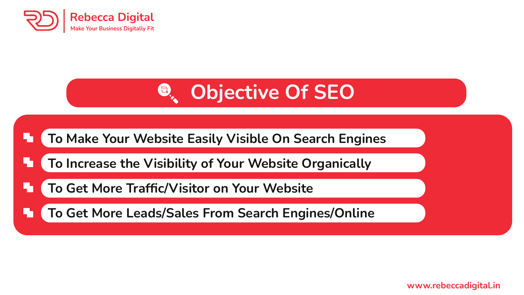

## $\bigoplus_{\alpha}$ **Objective Of SEO**



**To Increase the Visibility of Your Website Organically**

**To Get More Traffic/Visitor on Your Website**

**To Get More Leads/Sales From Search Engines/Online** 

**www.rebeccadigital.in**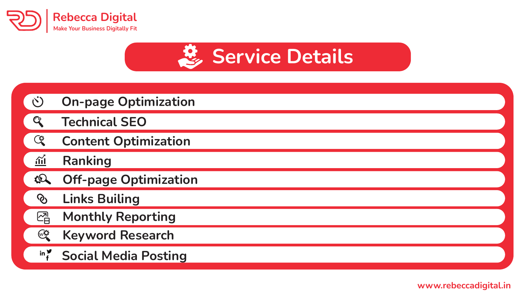



| い             | <b>On-page Optimization</b>  |
|---------------|------------------------------|
| $\mathbf{C}$  | <b>Technical SEO</b>         |
| œ             | <b>Content Optimization</b>  |
| 血             | Ranking                      |
| $\mathcal{L}$ | <b>Off-page Optimization</b> |
| $\mathcal{S}$ | <b>Links Builing</b>         |
| 졥             | <b>Monthly Reporting</b>     |
| ☞             | <b>Keyword Research</b>      |
|               | iny Social Media Posting     |
|               |                              |

**www.rebeccadigital.in**